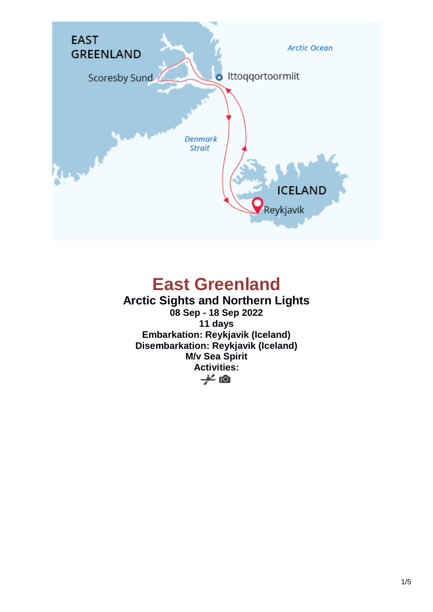

# **East Greenland**

### **Arctic Sights and Northern Lights**

**08 Sep - 18 Sep 2022 11 days Embarkation: Reykjavik (Iceland) Disembarkation: Reykjavik (Iceland) M/v Sea Spirit Activities:**y ©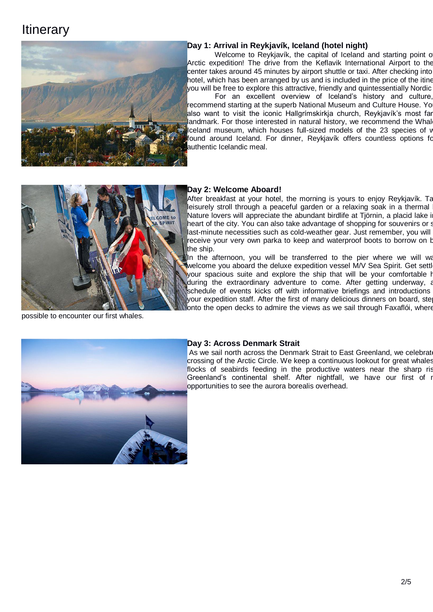### **Itinerary**



#### **Day 1: Arrival in Reykjavík, Iceland (hotel night)**

Welcome to Reykjavík, the capital of Iceland and starting point of Arctic expedition! The drive from the Keflavik International Airport to the center takes around 45 minutes by airport shuttle or taxi. After checking into hotel, which has been arranged by us and is included in the price of the itine you will be free to explore this attractive, friendly and quintessentially Nordic

For an excellent overview of Iceland's history and culture, recommend starting at the superb National Museum and Culture House. Yo also want to visit the iconic Hallgrímskirkja church, Reykjavík's most far landmark. For those interested in natural history, we recommend the Whal Iceland museum, which houses full-sized models of the 23 species of v found around Iceland. For dinner, Reykjavík offers countless options for authentic Icelandic meal.



possible to encounter our first whales.

#### **Day 2: Welcome Aboard!**

After breakfast at your hotel, the morning is yours to enjoy Reykjavík. Ta leisurely stroll through a peaceful garden or a relaxing soak in a thermal Nature lovers will appreciate the abundant birdlife at Tjörnin, a placid lake i heart of the city. You can also take advantage of shopping for souvenirs or s last-minute necessities such as cold-weather gear. Just remember, you will receive your very own parka to keep and waterproof boots to borrow on board the ship.

In the afternoon, you will be transferred to the pier where we will wa welcome you aboard the deluxe expedition vessel M/V Sea Spirit. Get settl your spacious suite and explore the ship that will be your comfortable h during the extraordinary adventure to come. After getting underway, a schedule of events kicks off with informative briefings and introductions your expedition staff. After the first of many delicious dinners on board, ste lonto the open decks to admire the views as we sail through Faxaflói, where



#### **Day 3: Across Denmark Strait**

As we sail north across the Denmark Strait to East Greenland, we celebrate crossing of the Arctic Circle. We keep a continuous lookout for great whales flocks of seabirds feeding in the productive waters near the sharp rist Greenland's continental shelf. After nightfall, we have our first of r opportunities to see the aurora borealis overhead.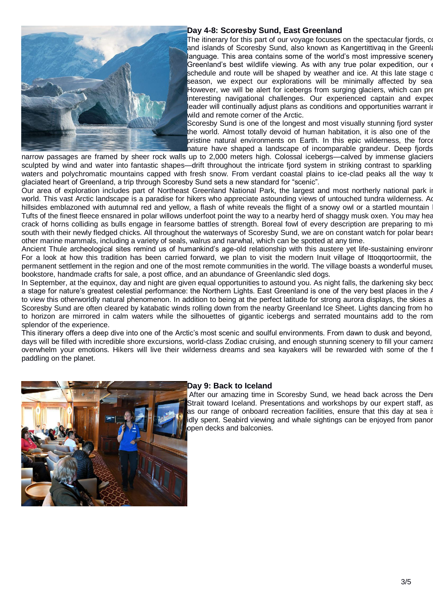

#### **Day 4-8: Scoresby Sund, East Greenland**

The itinerary for this part of our voyage focuses on the spectacular fjords,  $\alpha$ and islands of Scoresby Sund, also known as Kangertittivaq in the Greenla language. This area contains some of the world's most impressive scenery Greenland's best wildlife viewing. As with any true polar expedition, our  $\epsilon$ schedule and route will be shaped by weather and ice. At this late stage of season, we expect our explorations will be minimally affected by sea However, we will be alert for icebergs from surging glaciers, which can pre interesting navigational challenges. Our experienced captain and exped leader will continually adjust plans as conditions and opportunities warrant in wild and remote corner of the Arctic.

Scoresby Sund is one of the longest and most visually stunning fjord syster the world. Almost totally devoid of human habitation, it is also one of the pristine natural environments on Earth. In this epic wilderness, the force nature have shaped a landscape of incomparable grandeur. Deep fjords

narrow passages are framed by sheer rock walls up to 2,000 meters high. Colossal icebergs—calved by immense glaciers sculpted by wind and water into fantastic shapes—drift throughout the intricate fjord system in striking contrast to sparkling waters and polychromatic mountains capped with fresh snow. From verdant coastal plains to ice-clad peaks all the way to glaciated heart of Greenland, a trip through Scoresby Sund sets a new standard for "scenic".

Our area of exploration includes part of Northeast Greenland National Park, the largest and most northerly national park in world. This vast Arctic landscape is a paradise for hikers who appreciate astounding views of untouched tundra wilderness. Ad hillsides emblazoned with autumnal red and yellow, a flash of white reveals the flight of a snowy owl or a startled mountain Tufts of the finest fleece ensnared in polar willows underfoot point the way to a nearby herd of shaggy musk oxen. You may hear crack of horns colliding as bulls engage in fearsome battles of strength. Boreal fowl of every description are preparing to mi south with their newly fledged chicks. All throughout the waterways of Scoresby Sund, we are on constant watch for polar bears other marine mammals, including a variety of seals, walrus and narwhal, which can be spotted at any time.

Ancient Thule archeological sites remind us of humankind's age-old relationship with this austere yet life-sustaining environr For a look at how this tradition has been carried forward, we plan to visit the modern Inuit village of Ittoqqortoormiit, the permanent settlement in the region and one of the most remote communities in the world. The village boasts a wonderful museum bookstore, handmade crafts for sale, a post office, and an abundance of Greenlandic sled dogs.

In September, at the equinox, day and night are given equal opportunities to astound you. As night falls, the darkening sky becomes a stage for nature's greatest celestial performance: the Northern Lights. East Greenland is one of the very best places in the  $\ell$ to view this otherworldly natural phenomenon. In addition to being at the perfect latitude for strong aurora displays, the skies a Scoresby Sund are often cleared by katabatic winds rolling down from the nearby Greenland Ice Sheet. Lights dancing from ho to horizon are mirrored in calm waters while the silhouettes of gigantic icebergs and serrated mountains add to the rom splendor of the experience.

This itinerary offers a deep dive into one of the Arctic's most scenic and soulful environments. From dawn to dusk and beyond, days will be filled with incredible shore excursions, world-class Zodiac cruising, and enough stunning scenery to fill your camera overwhelm your emotions. Hikers will live their wilderness dreams and sea kayakers will be rewarded with some of the f paddling on the planet.



#### **Day 9: Back to Iceland**

After our amazing time in Scoresby Sund, we head back across the Den Strait toward Iceland. Presentations and workshops by our expert staff, as as our range of onboard recreation facilities, ensure that this day at sea i idly spent. Seabird viewing and whale sightings can be enjoyed from panor open decks and balconies.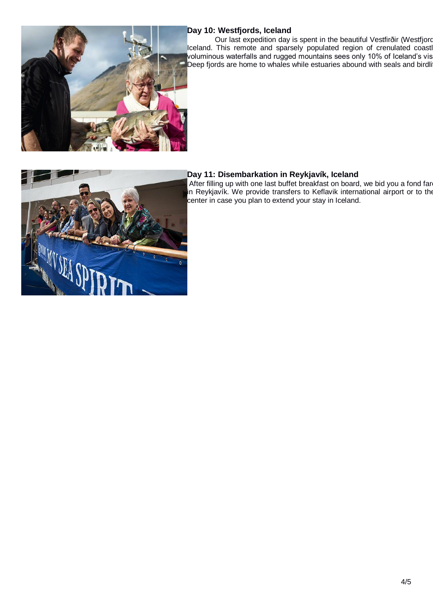

#### **Day 10: Westfjords, Iceland**

Our last expedition day is spent in the beautiful Vestfirðir (Westfjord Iceland. This remote and sparsely populated region of crenulated coastl voluminous waterfalls and rugged mountains sees only 10% of Iceland's vis Deep fjords are home to whales while estuaries abound with seals and birdli



### **Day 11: Disembarkation in Reykjavík, Iceland**

After filling up with one last buffet breakfast on board, we bid you a fond far in Reykjavík. We provide transfers to Keflavik international airport or to the center in case you plan to extend your stay in Iceland.